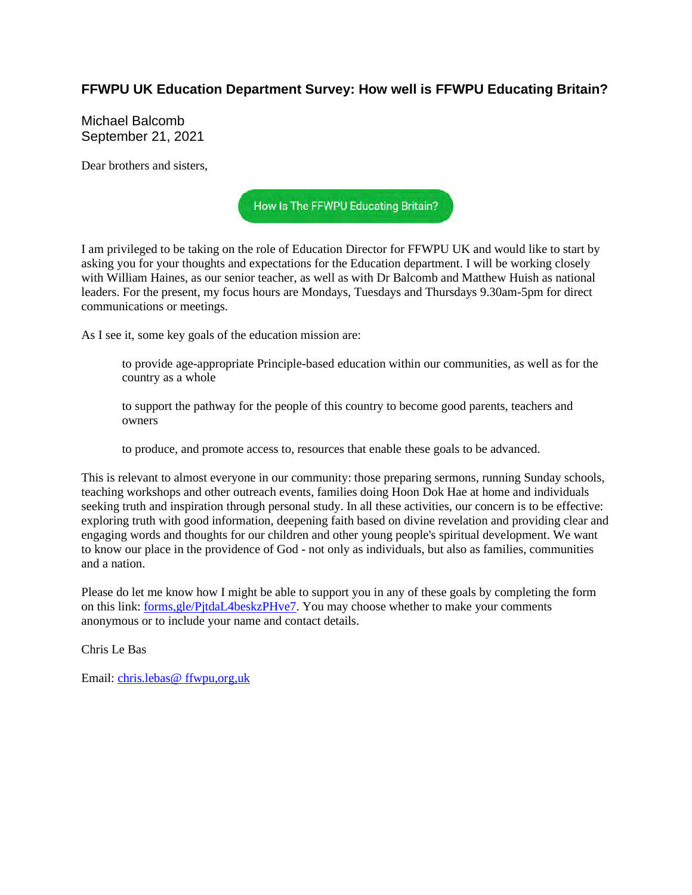## **FFWPU UK Education Department Survey: How well is FFWPU Educating Britain?**

Michael Balcomb September 21, 2021

Dear brothers and sisters,



I am privileged to be taking on the role of Education Director for FFWPU UK and would like to start by asking you for your thoughts and expectations for the Education department. I will be working closely with William Haines, as our senior teacher, as well as with Dr Balcomb and Matthew Huish as national leaders. For the present, my focus hours are Mondays, Tuesdays and Thursdays 9.30am-5pm for direct communications or meetings.

As I see it, some key goals of the education mission are:

to provide age-appropriate Principle-based education within our communities, as well as for the country as a whole

to support the pathway for the people of this country to become good parents, teachers and owners

to produce, and promote access to, resources that enable these goals to be advanced.

This is relevant to almost everyone in our community: those preparing sermons, running Sunday schools, teaching workshops and other outreach events, families doing Hoon Dok Hae at home and individuals seeking truth and inspiration through personal study. In all these activities, our concern is to be effective: exploring truth with good information, deepening faith based on divine revelation and providing clear and engaging words and thoughts for our children and other young people's spiritual development. We want to know our place in the providence of God - not only as individuals, but also as families, communities and a nation.

Please do let me know how I might be able to support you in any of these goals by completing the form on this link: forms,gle/PjtdaL4beskzPHve7. You may choose whether to make your comments anonymous or to include your name and contact details.

Chris Le Bas

Email: chris.lebas@ ffwpu,org,uk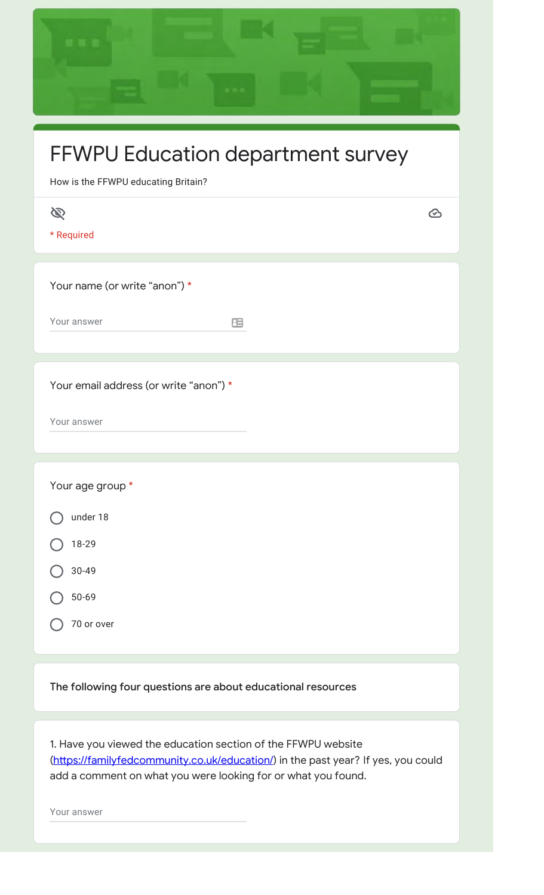| FFWPU Education department survey<br>How is the FFWPU educating Britain?      |  |  |  |
|-------------------------------------------------------------------------------|--|--|--|
| B<br>$\bm{\odot}$<br>* Required                                               |  |  |  |
| Your name (or write "anon") *<br>Your answer<br>田                             |  |  |  |
| Your email address (or write "anon") *<br>Your answer                         |  |  |  |
| Your age group *<br>under 18<br>18-29<br>$30 - 49$<br>$50 - 69$<br>70 or over |  |  |  |
| The following four questions are about educational resources                  |  |  |  |

1. Have you viewed the education section of the FFWPU website (https://familyfedcommunity.co.uk/education/) in the past year? If yes, you could add a comment on what you were looking for or what you found.

Your answer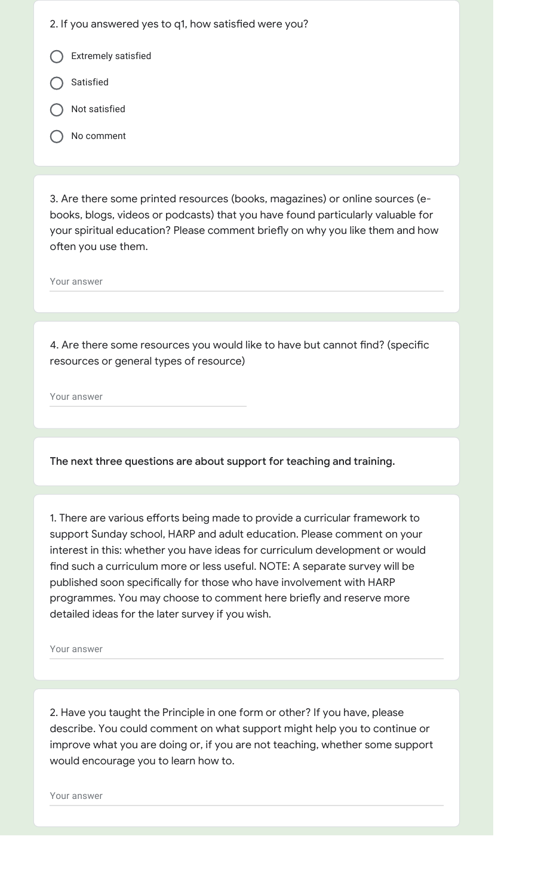- 2. If you answered yes to q1, how satisfied were you?
- Extremely satisfied
- Satisfied
- Not satisfied
- No comment

3. Are there some printed resources (books, magazines) or online sources (ebooks, blogs, videos or podcasts) that you have found particularly valuable for your spiritual education? Please comment briefly on why you like them and how often you use them.

Your answer

4. Are there some resources you would like to have but cannot find? (specific resources or general types of resource)

Your answer

The next three questions are about support for teaching and training.

1. There are various efforts being made to provide a curricular framework to support Sunday school, HARP and adult education. Please comment on your interest in this: whether you have ideas for curriculum development or would find such a curriculum more or less useful. NOTE: A separate survey will be published soon specifically for those who have involvement with HARP programmes. You may choose to comment here briefly and reserve more detailed ideas for the later survey if you wish.

Your answer

2. Have you taught the Principle in one form or other? If you have, please describe. You could comment on what support might help you to continue or improve what you are doing or, if you are not teaching, whether some support would encourage you to learn how to.

Your answer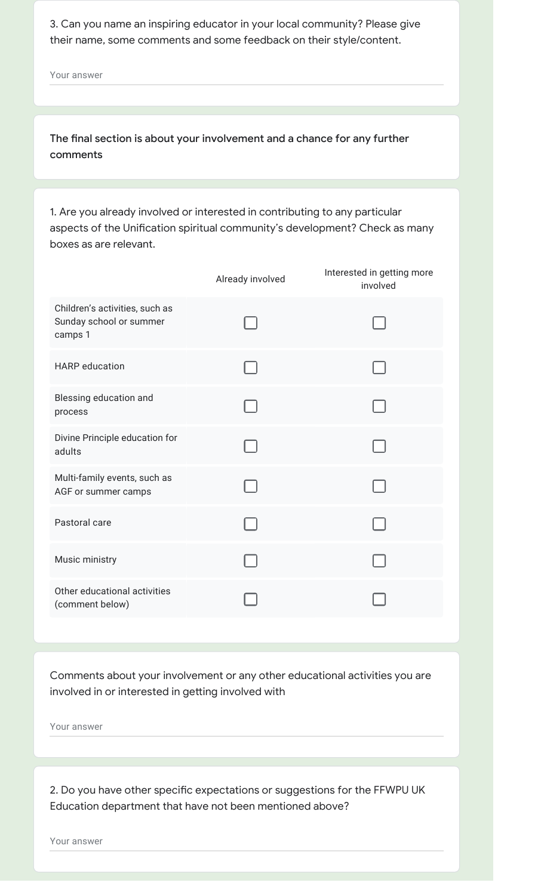3. Can you name an inspiring educator in your local community? Please give their name, some comments and some feedback on their style/content.

Your answer

The final section is about your involvement and a chance for any further comments

1. Are you already involved or interested in contributing to any particular aspects of the Unification spiritual community's development? Check as many boxes as are relevant.

|                                                                      | Already involved | Interested in getting more<br>involved |
|----------------------------------------------------------------------|------------------|----------------------------------------|
| Children's activities, such as<br>Sunday school or summer<br>camps 1 |                  |                                        |
| <b>HARP</b> education                                                |                  |                                        |
| Blessing education and<br>process                                    |                  |                                        |
| Divine Principle education for<br>adults                             |                  |                                        |
| Multi-family events, such as<br>AGF or summer camps                  |                  |                                        |
| Pastoral care                                                        |                  |                                        |
| Music ministry                                                       |                  |                                        |
| Other educational activities<br>(comment below)                      |                  |                                        |

Comments about your involvement or any other educational activities you are involved in or interested in getting involved with

Your answer

2. Do you have other specific expectations or suggestions for the FFWPU UK Education department that have not been mentioned above?

Your answer